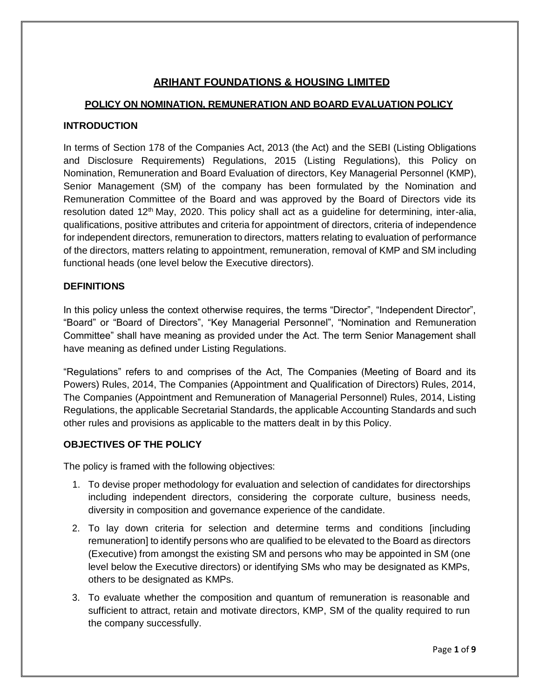# **ARIHANT FOUNDATIONS & HOUSING LIMITED**

# **POLICY ON NOMINATION, REMUNERATION AND BOARD EVALUATION POLICY**

# **INTRODUCTION**

In terms of Section 178 of the Companies Act, 2013 (the Act) and the SEBI (Listing Obligations and Disclosure Requirements) Regulations, 2015 (Listing Regulations), this Policy on Nomination, Remuneration and Board Evaluation of directors, Key Managerial Personnel (KMP), Senior Management (SM) of the company has been formulated by the Nomination and Remuneration Committee of the Board and was approved by the Board of Directors vide its resolution dated 12<sup>th</sup> May, 2020. This policy shall act as a guideline for determining, inter-alia, qualifications, positive attributes and criteria for appointment of directors, criteria of independence for independent directors, remuneration to directors, matters relating to evaluation of performance of the directors, matters relating to appointment, remuneration, removal of KMP and SM including functional heads (one level below the Executive directors).

### **DEFINITIONS**

In this policy unless the context otherwise requires, the terms "Director", "Independent Director", "Board" or "Board of Directors", "Key Managerial Personnel", "Nomination and Remuneration Committee" shall have meaning as provided under the Act. The term Senior Management shall have meaning as defined under Listing Regulations.

"Regulations" refers to and comprises of the Act, The Companies (Meeting of Board and its Powers) Rules, 2014, The Companies (Appointment and Qualification of Directors) Rules, 2014, The Companies (Appointment and Remuneration of Managerial Personnel) Rules, 2014, Listing Regulations, the applicable Secretarial Standards, the applicable Accounting Standards and such other rules and provisions as applicable to the matters dealt in by this Policy.

### **OBJECTIVES OF THE POLICY**

The policy is framed with the following objectives:

- 1. To devise proper methodology for evaluation and selection of candidates for directorships including independent directors, considering the corporate culture, business needs, diversity in composition and governance experience of the candidate.
- 2. To lay down criteria for selection and determine terms and conditions [including remuneration] to identify persons who are qualified to be elevated to the Board as directors (Executive) from amongst the existing SM and persons who may be appointed in SM (one level below the Executive directors) or identifying SMs who may be designated as KMPs, others to be designated as KMPs.
- 3. To evaluate whether the composition and quantum of remuneration is reasonable and sufficient to attract, retain and motivate directors, KMP, SM of the quality required to run the company successfully.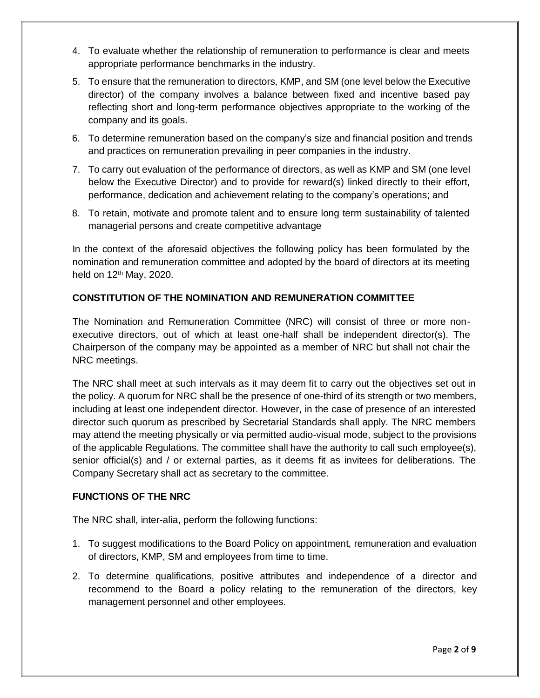- 4. To evaluate whether the relationship of remuneration to performance is clear and meets appropriate performance benchmarks in the industry.
- 5. To ensure that the remuneration to directors, KMP, and SM (one level below the Executive director) of the company involves a balance between fixed and incentive based pay reflecting short and long-term performance objectives appropriate to the working of the company and its goals.
- 6. To determine remuneration based on the company's size and financial position and trends and practices on remuneration prevailing in peer companies in the industry.
- 7. To carry out evaluation of the performance of directors, as well as KMP and SM (one level below the Executive Director) and to provide for reward(s) linked directly to their effort, performance, dedication and achievement relating to the company's operations; and
- 8. To retain, motivate and promote talent and to ensure long term sustainability of talented managerial persons and create competitive advantage

In the context of the aforesaid objectives the following policy has been formulated by the nomination and remuneration committee and adopted by the board of directors at its meeting held on  $12<sup>th</sup>$  May, 2020.

# **CONSTITUTION OF THE NOMINATION AND REMUNERATION COMMITTEE**

The Nomination and Remuneration Committee (NRC) will consist of three or more nonexecutive directors, out of which at least one-half shall be independent director(s). The Chairperson of the company may be appointed as a member of NRC but shall not chair the NRC meetings.

The NRC shall meet at such intervals as it may deem fit to carry out the objectives set out in the policy. A quorum for NRC shall be the presence of one-third of its strength or two members, including at least one independent director. However, in the case of presence of an interested director such quorum as prescribed by Secretarial Standards shall apply. The NRC members may attend the meeting physically or via permitted audio-visual mode, subject to the provisions of the applicable Regulations. The committee shall have the authority to call such employee(s), senior official(s) and / or external parties, as it deems fit as invitees for deliberations. The Company Secretary shall act as secretary to the committee.

### **FUNCTIONS OF THE NRC**

The NRC shall, inter-alia, perform the following functions:

- 1. To suggest modifications to the Board Policy on appointment, remuneration and evaluation of directors, KMP, SM and employees from time to time.
- 2. To determine qualifications, positive attributes and independence of a director and recommend to the Board a policy relating to the remuneration of the directors, key management personnel and other employees.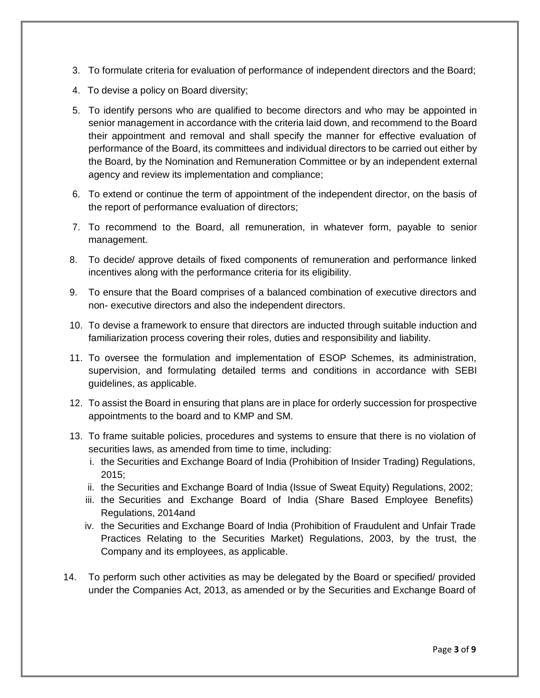- 3. To formulate criteria for evaluation of performance of independent directors and the Board;
- 4. To devise a policy on Board diversity;
- 5. To identify persons who are qualified to become directors and who may be appointed in senior management in accordance with the criteria laid down, and recommend to the Board their appointment and removal and shall specify the manner for effective evaluation of performance of the Board, its committees and individual directors to be carried out either by the Board, by the Nomination and Remuneration Committee or by an independent external agency and review its implementation and compliance;
- 6. To extend or continue the term of appointment of the independent director, on the basis of the report of performance evaluation of directors;
- 7. To recommend to the Board, all remuneration, in whatever form, payable to senior management.
- 8. To decide/ approve details of fixed components of remuneration and performance linked incentives along with the performance criteria for its eligibility.
- 9. To ensure that the Board comprises of a balanced combination of executive directors and non- executive directors and also the independent directors.
- 10. To devise a framework to ensure that directors are inducted through suitable induction and familiarization process covering their roles, duties and responsibility and liability.
- 11. To oversee the formulation and implementation of ESOP Schemes, its administration, supervision, and formulating detailed terms and conditions in accordance with SEBI guidelines, as applicable.
- 12. To assist the Board in ensuring that plans are in place for orderly succession for prospective appointments to the board and to KMP and SM.
- 13. To frame suitable policies, procedures and systems to ensure that there is no violation of securities laws, as amended from time to time, including:
	- i. the Securities and Exchange Board of India (Prohibition of Insider Trading) Regulations, 2015;
	- ii. the Securities and Exchange Board of India (Issue of Sweat Equity) Regulations, 2002;
	- iii. the Securities and Exchange Board of India (Share Based Employee Benefits) Regulations, 2014and
	- iv. the Securities and Exchange Board of India (Prohibition of Fraudulent and Unfair Trade Practices Relating to the Securities Market) Regulations, 2003, by the trust, the Company and its employees, as applicable.
- 14. To perform such other activities as may be delegated by the Board or specified/ provided under the Companies Act, 2013, as amended or by the Securities and Exchange Board of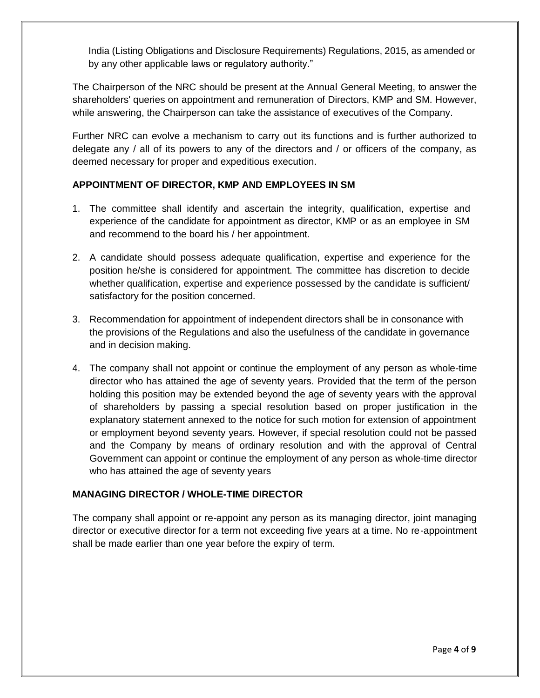India (Listing Obligations and Disclosure Requirements) Regulations, 2015, as amended or by any other applicable laws or regulatory authority."

The Chairperson of the NRC should be present at the Annual General Meeting, to answer the shareholders' queries on appointment and remuneration of Directors, KMP and SM. However, while answering, the Chairperson can take the assistance of executives of the Company.

Further NRC can evolve a mechanism to carry out its functions and is further authorized to delegate any / all of its powers to any of the directors and / or officers of the company, as deemed necessary for proper and expeditious execution.

# **APPOINTMENT OF DIRECTOR, KMP AND EMPLOYEES IN SM**

- 1. The committee shall identify and ascertain the integrity, qualification, expertise and experience of the candidate for appointment as director, KMP or as an employee in SM and recommend to the board his / her appointment.
- 2. A candidate should possess adequate qualification, expertise and experience for the position he/she is considered for appointment. The committee has discretion to decide whether qualification, expertise and experience possessed by the candidate is sufficient/ satisfactory for the position concerned.
- 3. Recommendation for appointment of independent directors shall be in consonance with the provisions of the Regulations and also the usefulness of the candidate in governance and in decision making.
- 4. The company shall not appoint or continue the employment of any person as whole-time director who has attained the age of seventy years. Provided that the term of the person holding this position may be extended beyond the age of seventy years with the approval of shareholders by passing a special resolution based on proper justification in the explanatory statement annexed to the notice for such motion for extension of appointment or employment beyond seventy years. However, if special resolution could not be passed and the Company by means of ordinary resolution and with the approval of Central Government can appoint or continue the employment of any person as whole-time director who has attained the age of seventy years

# **MANAGING DIRECTOR / WHOLE-TIME DIRECTOR**

The company shall appoint or re-appoint any person as its managing director, joint managing director or executive director for a term not exceeding five years at a time. No re-appointment shall be made earlier than one year before the expiry of term.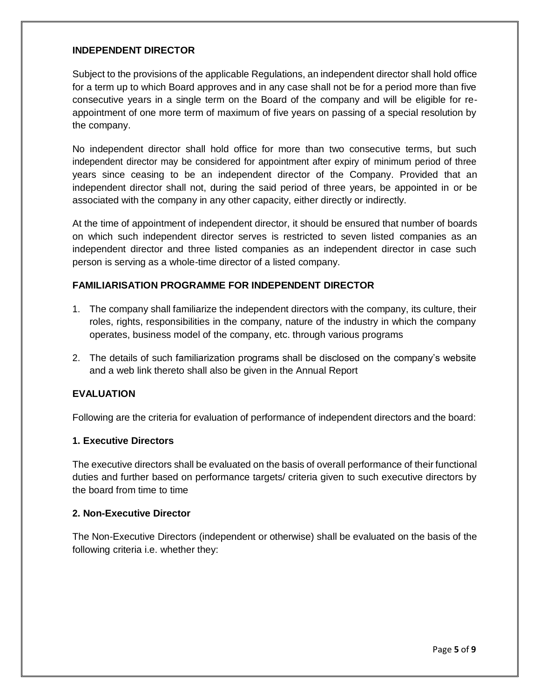### **INDEPENDENT DIRECTOR**

Subject to the provisions of the applicable Regulations, an independent director shall hold office for a term up to which Board approves and in any case shall not be for a period more than five consecutive years in a single term on the Board of the company and will be eligible for reappointment of one more term of maximum of five years on passing of a special resolution by the company.

No independent director shall hold office for more than two consecutive terms, but such independent director may be considered for appointment after expiry of minimum period of three years since ceasing to be an independent director of the Company. Provided that an independent director shall not, during the said period of three years, be appointed in or be associated with the company in any other capacity, either directly or indirectly.

At the time of appointment of independent director, it should be ensured that number of boards on which such independent director serves is restricted to seven listed companies as an independent director and three listed companies as an independent director in case such person is serving as a whole-time director of a listed company.

### **FAMILIARISATION PROGRAMME FOR INDEPENDENT DIRECTOR**

- 1. The company shall familiarize the independent directors with the company, its culture, their roles, rights, responsibilities in the company, nature of the industry in which the company operates, business model of the company, etc. through various programs
- 2. The details of such familiarization programs shall be disclosed on the company's website and a web link thereto shall also be given in the Annual Report

#### **EVALUATION**

Following are the criteria for evaluation of performance of independent directors and the board:

### **1. Executive Directors**

The executive directors shall be evaluated on the basis of overall performance of their functional duties and further based on performance targets/ criteria given to such executive directors by the board from time to time

#### **2. Non-Executive Director**

The Non-Executive Directors (independent or otherwise) shall be evaluated on the basis of the following criteria i.e. whether they: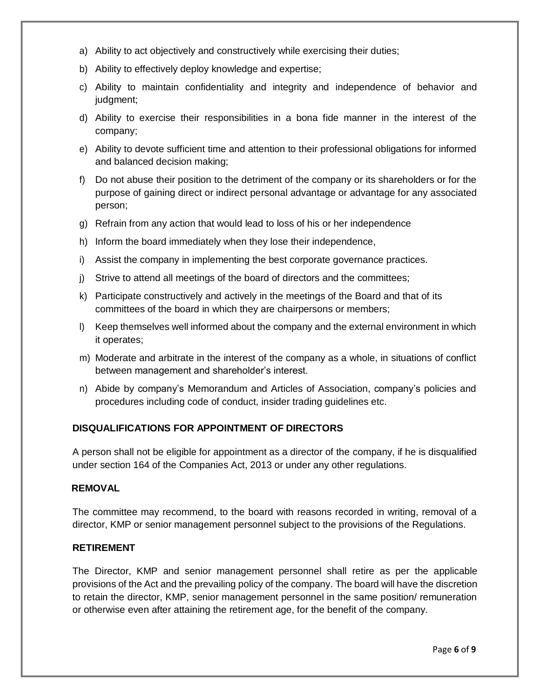- a) Ability to act objectively and constructively while exercising their duties;
- b) Ability to effectively deploy knowledge and expertise;
- c) Ability to maintain confidentiality and integrity and independence of behavior and judgment;
- d) Ability to exercise their responsibilities in a bona fide manner in the interest of the company;
- e) Ability to devote sufficient time and attention to their professional obligations for informed and balanced decision making;
- f) Do not abuse their position to the detriment of the company or its shareholders or for the purpose of gaining direct or indirect personal advantage or advantage for any associated person;
- g) Refrain from any action that would lead to loss of his or her independence
- h) Inform the board immediately when they lose their independence,
- i) Assist the company in implementing the best corporate governance practices.
- j) Strive to attend all meetings of the board of directors and the committees;
- k) Participate constructively and actively in the meetings of the Board and that of its committees of the board in which they are chairpersons or members;
- l) Keep themselves well informed about the company and the external environment in which it operates;
- m) Moderate and arbitrate in the interest of the company as a whole, in situations of conflict between management and shareholder's interest.
- n) Abide by company's Memorandum and Articles of Association, company's policies and procedures including code of conduct, insider trading guidelines etc.

#### **DISQUALIFICATIONS FOR APPOINTMENT OF DIRECTORS**

A person shall not be eligible for appointment as a director of the company, if he is disqualified under section 164 of the Companies Act, 2013 or under any other regulations.

#### **REMOVAL**

The committee may recommend, to the board with reasons recorded in writing, removal of a director, KMP or senior management personnel subject to the provisions of the Regulations.

### **RETIREMENT**

The Director, KMP and senior management personnel shall retire as per the applicable provisions of the Act and the prevailing policy of the company. The board will have the discretion to retain the director, KMP, senior management personnel in the same position/ remuneration or otherwise even after attaining the retirement age, for the benefit of the company.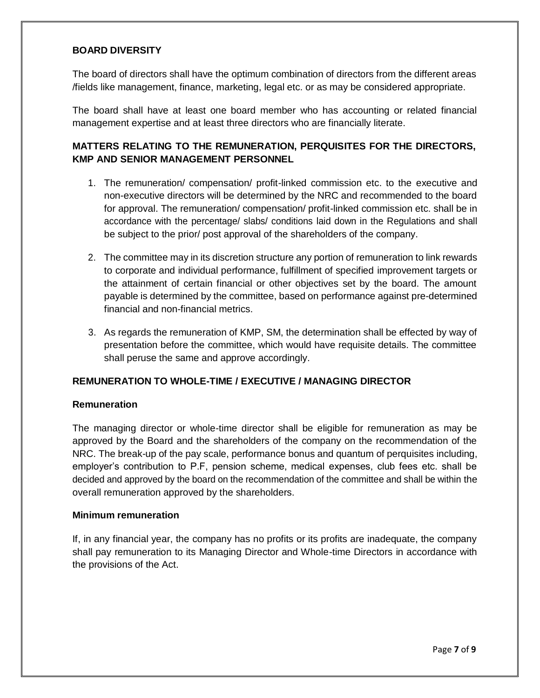# **BOARD DIVERSITY**

The board of directors shall have the optimum combination of directors from the different areas /fields like management, finance, marketing, legal etc. or as may be considered appropriate.

The board shall have at least one board member who has accounting or related financial management expertise and at least three directors who are financially literate.

# **MATTERS RELATING TO THE REMUNERATION, PERQUISITES FOR THE DIRECTORS, KMP AND SENIOR MANAGEMENT PERSONNEL**

- 1. The remuneration/ compensation/ profit-linked commission etc. to the executive and non-executive directors will be determined by the NRC and recommended to the board for approval. The remuneration/ compensation/ profit-linked commission etc. shall be in accordance with the percentage/ slabs/ conditions laid down in the Regulations and shall be subject to the prior/ post approval of the shareholders of the company.
- 2. The committee may in its discretion structure any portion of remuneration to link rewards to corporate and individual performance, fulfillment of specified improvement targets or the attainment of certain financial or other objectives set by the board. The amount payable is determined by the committee, based on performance against pre-determined financial and non-financial metrics.
- 3. As regards the remuneration of KMP, SM, the determination shall be effected by way of presentation before the committee, which would have requisite details. The committee shall peruse the same and approve accordingly.

# **REMUNERATION TO WHOLE-TIME / EXECUTIVE / MANAGING DIRECTOR**

#### **Remuneration**

The managing director or whole-time director shall be eligible for remuneration as may be approved by the Board and the shareholders of the company on the recommendation of the NRC. The break-up of the pay scale, performance bonus and quantum of perquisites including, employer's contribution to P.F, pension scheme, medical expenses, club fees etc. shall be decided and approved by the board on the recommendation of the committee and shall be within the overall remuneration approved by the shareholders.

#### **Minimum remuneration**

If, in any financial year, the company has no profits or its profits are inadequate, the company shall pay remuneration to its Managing Director and Whole-time Directors in accordance with the provisions of the Act.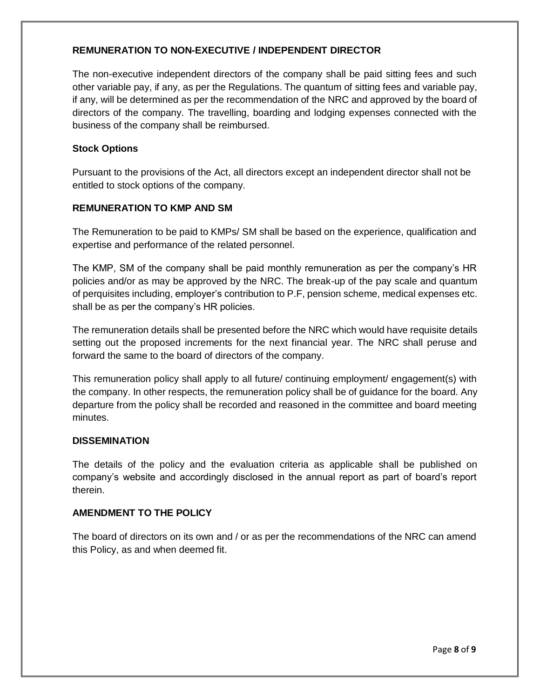# **REMUNERATION TO NON-EXECUTIVE / INDEPENDENT DIRECTOR**

The non-executive independent directors of the company shall be paid sitting fees and such other variable pay, if any, as per the Regulations. The quantum of sitting fees and variable pay, if any, will be determined as per the recommendation of the NRC and approved by the board of directors of the company. The travelling, boarding and lodging expenses connected with the business of the company shall be reimbursed.

### **Stock Options**

Pursuant to the provisions of the Act, all directors except an independent director shall not be entitled to stock options of the company.

#### **REMUNERATION TO KMP AND SM**

The Remuneration to be paid to KMPs/ SM shall be based on the experience, qualification and expertise and performance of the related personnel.

The KMP, SM of the company shall be paid monthly remuneration as per the company's HR policies and/or as may be approved by the NRC. The break-up of the pay scale and quantum of perquisites including, employer's contribution to P.F, pension scheme, medical expenses etc. shall be as per the company's HR policies.

The remuneration details shall be presented before the NRC which would have requisite details setting out the proposed increments for the next financial year. The NRC shall peruse and forward the same to the board of directors of the company.

This remuneration policy shall apply to all future/ continuing employment/ engagement(s) with the company. In other respects, the remuneration policy shall be of guidance for the board. Any departure from the policy shall be recorded and reasoned in the committee and board meeting minutes.

#### **DISSEMINATION**

The details of the policy and the evaluation criteria as applicable shall be published on company's website and accordingly disclosed in the annual report as part of board's report therein.

#### **AMENDMENT TO THE POLICY**

The board of directors on its own and / or as per the recommendations of the NRC can amend this Policy, as and when deemed fit.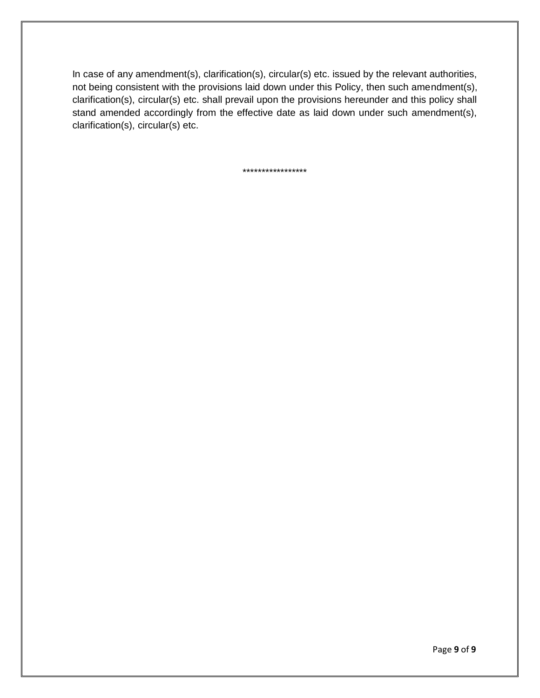In case of any amendment(s), clarification(s), circular(s) etc. issued by the relevant authorities, not being consistent with the provisions laid down under this Policy, then such amendment(s), clarification(s), circular(s) etc. shall prevail upon the provisions hereunder and this policy shall stand amended accordingly from the effective date as laid down under such amendment(s), clarification(s), circular(s) etc.

\*\*\*\*\*\*\*\*\*\*\*\*\*\*\*\*\*